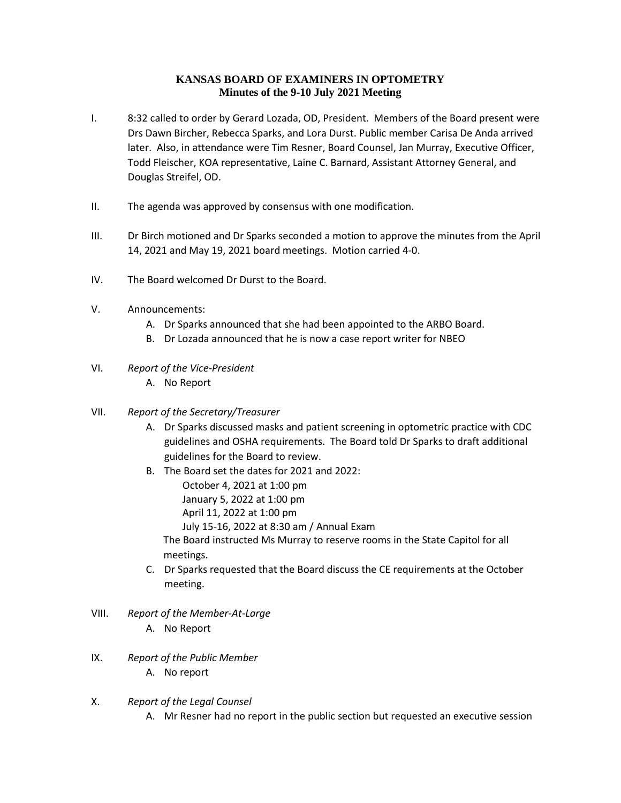## **KANSAS BOARD OF EXAMINERS IN OPTOMETRY Minutes of the 9-10 July 2021 Meeting**

- I. 8:32 called to order by Gerard Lozada, OD, President. Members of the Board present were Drs Dawn Bircher, Rebecca Sparks, and Lora Durst. Public member Carisa De Anda arrived later. Also, in attendance were Tim Resner, Board Counsel, Jan Murray, Executive Officer, Todd Fleischer, KOA representative, Laine C. Barnard, Assistant Attorney General, and Douglas Streifel, OD.
- II. The agenda was approved by consensus with one modification.
- III. Dr Birch motioned and Dr Sparks seconded a motion to approve the minutes from the April 14, 2021 and May 19, 2021 board meetings. Motion carried 4-0.
- IV. The Board welcomed Dr Durst to the Board.
- V. Announcements:
	- A. Dr Sparks announced that she had been appointed to the ARBO Board.
	- B. Dr Lozada announced that he is now a case report writer for NBEO
- VI. *Report of the Vice-President*
	- A. No Report
- VII. *Report of the Secretary/Treasurer*
	- A. Dr Sparks discussed masks and patient screening in optometric practice with CDC guidelines and OSHA requirements. The Board told Dr Sparks to draft additional guidelines for the Board to review.
	- B. The Board set the dates for 2021 and 2022:
		- October 4, 2021 at 1:00 pm
		- January 5, 2022 at 1:00 pm
		- April 11, 2022 at 1:00 pm
		- July 15-16, 2022 at 8:30 am / Annual Exam

The Board instructed Ms Murray to reserve rooms in the State Capitol for all meetings.

- C. Dr Sparks requested that the Board discuss the CE requirements at the October meeting.
- VIII. *Report of the Member-At-Large* A. No Report
- IX. *Report of the Public Member* A. No report
- X. *Report of the Legal Counsel*
	- A. Mr Resner had no report in the public section but requested an executive session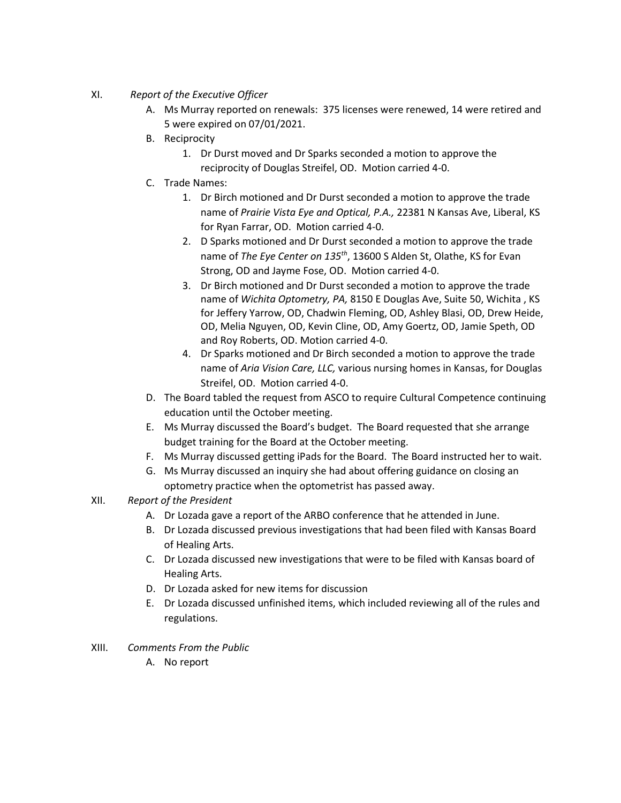- XI. *Report of the Executive Officer*
	- A. Ms Murray reported on renewals: 375 licenses were renewed, 14 were retired and 5 were expired on 07/01/2021.
	- B. Reciprocity
		- 1. Dr Durst moved and Dr Sparks seconded a motion to approve the reciprocity of Douglas Streifel, OD. Motion carried 4-0.
	- C. Trade Names:
		- 1. Dr Birch motioned and Dr Durst seconded a motion to approve the trade name of *Prairie Vista Eye and Optical, P.A.,* 22381 N Kansas Ave, Liberal, KS for Ryan Farrar, OD. Motion carried 4-0.
		- 2. D Sparks motioned and Dr Durst seconded a motion to approve the trade name of *The Eye Center on 135th*, 13600 S Alden St, Olathe, KS for Evan Strong, OD and Jayme Fose, OD. Motion carried 4-0.
		- 3. Dr Birch motioned and Dr Durst seconded a motion to approve the trade name of *Wichita Optometry, PA,* 8150 E Douglas Ave, Suite 50, Wichita , KS for Jeffery Yarrow, OD, Chadwin Fleming, OD, Ashley Blasi, OD, Drew Heide, OD, Melia Nguyen, OD, Kevin Cline, OD, Amy Goertz, OD, Jamie Speth, OD and Roy Roberts, OD. Motion carried 4-0.
		- 4. Dr Sparks motioned and Dr Birch seconded a motion to approve the trade name of *Aria Vision Care, LLC,* various nursing homes in Kansas, for Douglas Streifel, OD. Motion carried 4-0.
	- D. The Board tabled the request from ASCO to require Cultural Competence continuing education until the October meeting.
	- E. Ms Murray discussed the Board's budget. The Board requested that she arrange budget training for the Board at the October meeting.
	- F. Ms Murray discussed getting iPads for the Board. The Board instructed her to wait.
	- G. Ms Murray discussed an inquiry she had about offering guidance on closing an optometry practice when the optometrist has passed away.
- XII. *Report of the President*
	- A. Dr Lozada gave a report of the ARBO conference that he attended in June.
	- B. Dr Lozada discussed previous investigations that had been filed with Kansas Board of Healing Arts.
	- C. Dr Lozada discussed new investigations that were to be filed with Kansas board of Healing Arts.
	- D. Dr Lozada asked for new items for discussion
	- E. Dr Lozada discussed unfinished items, which included reviewing all of the rules and regulations.
- XIII. *Comments From the Public*
	- A. No report